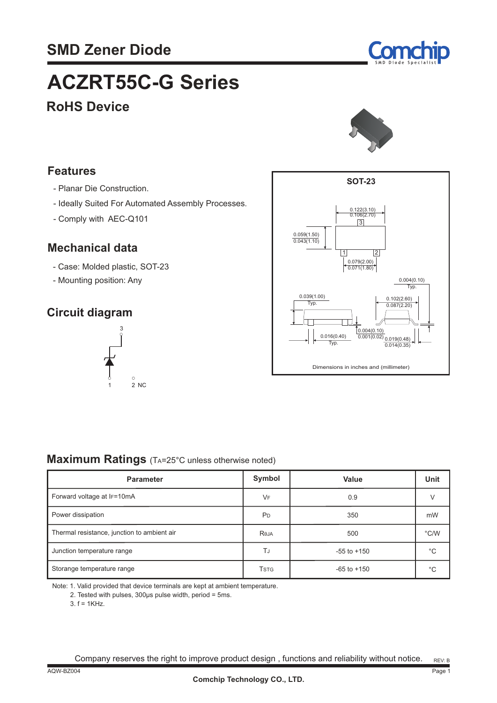

# **ACZRT55C-G Series**

## **RoHS Device**



#### **Features**

- Planar Die Construction.
- Ideally Suited For Automated Assembly Processes.
- Comply with AEC-Q101

#### **Mechanical data**

- Case: Molded plastic, SOT-23
- Mounting position: Any

### **Circuit diagram**





#### **Maximum Ratings** (TA=25°C unless otherwise noted)

| <b>Parameter</b>                            | Symbol         | Value           | Unit          |
|---------------------------------------------|----------------|-----------------|---------------|
| Forward voltage at IF=10mA                  | VF             | 0.9             |               |
| Power dissipation                           | P <sub>D</sub> | 350             | mW            |
| Thermal resistance, junction to ambient air | Reja           | 500             | $\degree$ C/W |
| Junction temperature range                  | TJ             | $-55$ to $+150$ | °C            |
| Storange temperature range                  | <b>TSTG</b>    | $-65$ to $+150$ | $^{\circ}$ C  |

Note: 1. Valid provided that device terminals are kept at ambient temperature.

2. Tested with pulses, 300μs pulse width, period = 5ms.

3. f = 1KHz.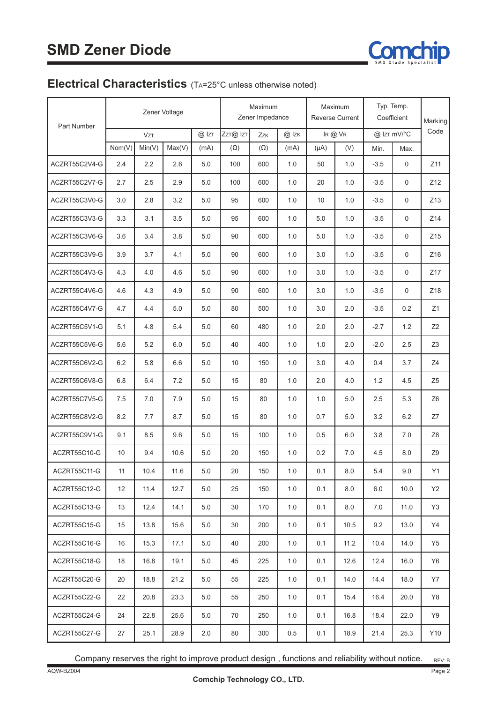

### **Electrical Characteristics** (TA=25°C unless otherwise noted)

| Part Number   | Zener Voltage |            |        |         | Maximum<br>Zener Impedance |            | Maximum<br><b>Reverse Current</b> |           | Typ. Temp.<br>Coefficient |        | Marking     |                |
|---------------|---------------|------------|--------|---------|----------------------------|------------|-----------------------------------|-----------|---------------------------|--------|-------------|----------------|
|               |               | <b>VzT</b> |        | @ IzT   | ZzT@ IzT                   | Zzk        | $@$ Izk                           |           | IR @ VR                   |        | @ IzT mV/°C | Code           |
|               | Nom(V)        | Min(V)     | Max(V) | (mA)    | $(\Omega)$                 | $(\Omega)$ | (mA)                              | $(\mu A)$ | (V)                       | Min.   | Max.        |                |
| ACZRT55C2V4-G | 2.4           | 2.2        | 2.6    | 5.0     | 100                        | 600        | 1.0                               | 50        | 1.0                       | $-3.5$ | 0           | Z11            |
| ACZRT55C2V7-G | 2.7           | 2.5        | 2.9    | 5.0     | 100                        | 600        | 1.0                               | 20        | 1.0                       | $-3.5$ | 0           | Z12            |
| ACZRT55C3V0-G | 3.0           | 2.8        | 3.2    | 5.0     | 95                         | 600        | 1.0                               | 10        | 1.0                       | $-3.5$ | 0           | Z13            |
| ACZRT55C3V3-G | 3.3           | 3.1        | 3.5    | 5.0     | 95                         | 600        | 1.0                               | 5.0       | 1.0                       | $-3.5$ | 0           | Z14            |
| ACZRT55C3V6-G | 3.6           | 3.4        | 3.8    | 5.0     | 90                         | 600        | 1.0                               | 5.0       | 1.0                       | $-3.5$ | 0           | Z15            |
| ACZRT55C3V9-G | 3.9           | 3.7        | 4.1    | 5.0     | 90                         | 600        | 1.0                               | 3.0       | 1.0                       | $-3.5$ | 0           | Z16            |
| ACZRT55C4V3-G | 4.3           | 4.0        | 4.6    | 5.0     | 90                         | 600        | 1.0                               | 3.0       | 1.0                       | $-3.5$ | 0           | Z17            |
| ACZRT55C4V6-G | 4.6           | 4.3        | 4.9    | 5.0     | 90                         | 600        | 1.0                               | 3.0       | 1.0                       | $-3.5$ | $\mathbf 0$ | Z18            |
| ACZRT55C4V7-G | 4.7           | 4.4        | 5.0    | 5.0     | 80                         | 500        | 1.0                               | 3.0       | 2.0                       | $-3.5$ | 0.2         | Z1             |
| ACZRT55C5V1-G | 5.1           | 4.8        | 5.4    | 5.0     | 60                         | 480        | 1.0                               | 2.0       | 2.0                       | $-2.7$ | 1.2         | Z2             |
| ACZRT55C5V6-G | 5.6           | 5.2        | 6.0    | 5.0     | 40                         | 400        | 1.0                               | 1.0       | 2.0                       | $-2.0$ | 2.5         | Z <sub>3</sub> |
| ACZRT55C6V2-G | 6.2           | 5.8        | 6.6    | 5.0     | 10                         | 150        | 1.0                               | 3.0       | 4.0                       | 0.4    | 3.7         | Z4             |
| ACZRT55C6V8-G | $6.8$         | 6.4        | 7.2    | 5.0     | 15                         | 80         | 1.0                               | 2.0       | 4.0                       | 1.2    | 4.5         | Z <sub>5</sub> |
| ACZRT55C7V5-G | 7.5           | 7.0        | 7.9    | 5.0     | 15                         | 80         | 1.0                               | 1.0       | 5.0                       | 2.5    | 5.3         | Z <sub>6</sub> |
| ACZRT55C8V2-G | 8.2           | 7.7        | 8.7    | 5.0     | 15                         | 80         | 1.0                               | 0.7       | 5.0                       | 3.2    | 6.2         | Z7             |
| ACZRT55C9V1-G | 9.1           | 8.5        | 9.6    | 5.0     | 15                         | 100        | 1.0                               | 0.5       | 6.0                       | 3.8    | 7.0         | Z8             |
| ACZRT55C10-G  | 10            | 9.4        | 10.6   | 5.0     | 20                         | 150        | 1.0                               | 0.2       | 7.0                       | 4.5    | 8.0         | Z <sub>9</sub> |
| ACZRT55C11-G  | 11            | 10.4       | 11.6   | $5.0\,$ | $20\,$                     | 150        | $1.0\,$                           | 0.1       | $8.0\,$                   | 5.4    | 9.0         | Y1             |
| ACZRT55C12-G  | 12            | 11.4       | 12.7   | $5.0\,$ | 25                         | 150        | 1.0                               | 0.1       | 8.0                       | 6.0    | 10.0        | <b>Y2</b>      |
| ACZRT55C13-G  | 13            | 12.4       | 14.1   | 5.0     | 30                         | 170        | 1.0                               | 0.1       | 8.0                       | 7.0    | 11.0        | Y3             |
| ACZRT55C15-G  | 15            | 13.8       | 15.6   | 5.0     | 30                         | 200        | 1.0                               | 0.1       | 10.5                      | 9.2    | 13.0        | Y4             |
| ACZRT55C16-G  | 16            | 15.3       | 17.1   | 5.0     | 40                         | 200        | 1.0                               | 0.1       | 11.2                      | 10.4   | 14.0        | Y <sub>5</sub> |
| ACZRT55C18-G  | 18            | 16.8       | 19.1   | 5.0     | 45                         | 225        | 1.0                               | 0.1       | 12.6                      | 12.4   | 16.0        | <b>Y6</b>      |
| ACZRT55C20-G  | 20            | 18.8       | 21.2   | 5.0     | 55                         | 225        | 1.0                               | 0.1       | 14.0                      | 14.4   | 18.0        | <b>Y7</b>      |
| ACZRT55C22-G  | 22            | 20.8       | 23.3   | 5.0     | 55                         | 250        | 1.0                               | 0.1       | 15.4                      | 16.4   | 20.0        | Y8             |
| ACZRT55C24-G  | 24            | 22.8       | 25.6   | 5.0     | 70                         | 250        | 1.0                               | 0.1       | 16.8                      | 18.4   | 22.0        | Y9             |
| ACZRT55C27-G  | 27            | 25.1       | 28.9   | 2.0     | $80\,$                     | 300        | $0.5\,$                           | 0.1       | 18.9                      | 21.4   | 25.3        | Y10            |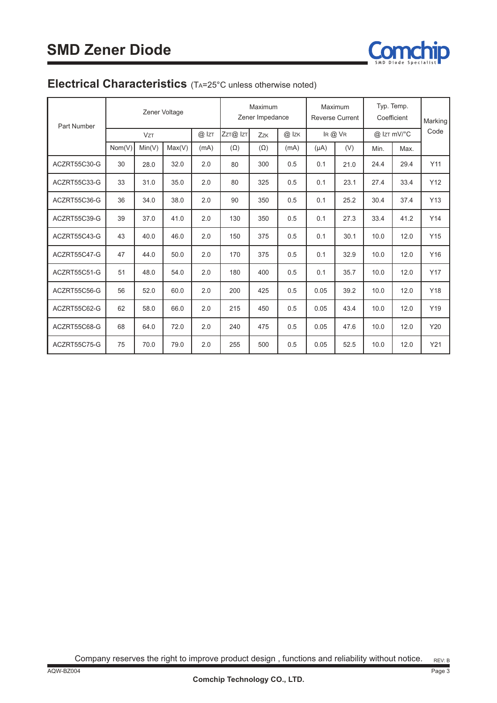

#### **Electrical Characteristics** (TA=25°C unless otherwise noted)

| <b>Part Number</b> | Zener Voltage |            |        | Maximum<br>Zener Impedance |            | Maximum<br><b>Reverse Current</b> |       | Typ. Temp.<br>Coefficient |      | Marking     |      |      |
|--------------------|---------------|------------|--------|----------------------------|------------|-----------------------------------|-------|---------------------------|------|-------------|------|------|
|                    |               | <b>VzT</b> |        | $@$ Izt                    | ZzT@ IzT   | Zzk                               | @ Izk | $IR@$ $VR$                |      | @ IzT mV/°C |      | Code |
|                    | Nom(V)        | Min(V)     | Max(V) | (mA)                       | $(\Omega)$ | $(\Omega)$                        | (mA)  | $(\mu A)$                 | (V)  | Min.        | Max. |      |
| ACZRT55C30-G       | 30            | 28.0       | 32.0   | 2.0                        | 80         | 300                               | 0.5   | 0.1                       | 21.0 | 24.4        | 29.4 | Y11  |
| ACZRT55C33-G       | 33            | 31.0       | 35.0   | 2.0                        | 80         | 325                               | 0.5   | 0.1                       | 23.1 | 27.4        | 33.4 | Y12  |
| ACZRT55C36-G       | 36            | 34.0       | 38.0   | 2.0                        | 90         | 350                               | 0.5   | 0.1                       | 25.2 | 30.4        | 37.4 | Y13  |
| ACZRT55C39-G       | 39            | 37.0       | 41.0   | 2.0                        | 130        | 350                               | 0.5   | 0.1                       | 27.3 | 33.4        | 41.2 | Y14  |
| ACZRT55C43-G       | 43            | 40.0       | 46.0   | 2.0                        | 150        | 375                               | 0.5   | 0.1                       | 30.1 | 10.0        | 12.0 | Y15  |
| ACZRT55C47-G       | 47            | 44.0       | 50.0   | 2.0                        | 170        | 375                               | 0.5   | 0.1                       | 32.9 | 10.0        | 12.0 | Y16  |
| ACZRT55C51-G       | 51            | 48.0       | 54.0   | 2.0                        | 180        | 400                               | 0.5   | 0.1                       | 35.7 | 10.0        | 12.0 | Y17  |
| ACZRT55C56-G       | 56            | 52.0       | 60.0   | 2.0                        | 200        | 425                               | 0.5   | 0.05                      | 39.2 | 10.0        | 12.0 | Y18  |
| ACZRT55C62-G       | 62            | 58.0       | 66.0   | 2.0                        | 215        | 450                               | 0.5   | 0.05                      | 43.4 | 10.0        | 12.0 | Y19  |
| ACZRT55C68-G       | 68            | 64.0       | 72.0   | 2.0                        | 240        | 475                               | 0.5   | 0.05                      | 47.6 | 10.0        | 12.0 | Y20  |
| ACZRT55C75-G       | 75            | 70.0       | 79.0   | 2.0                        | 255        | 500                               | 0.5   | 0.05                      | 52.5 | 10.0        | 12.0 | Y21  |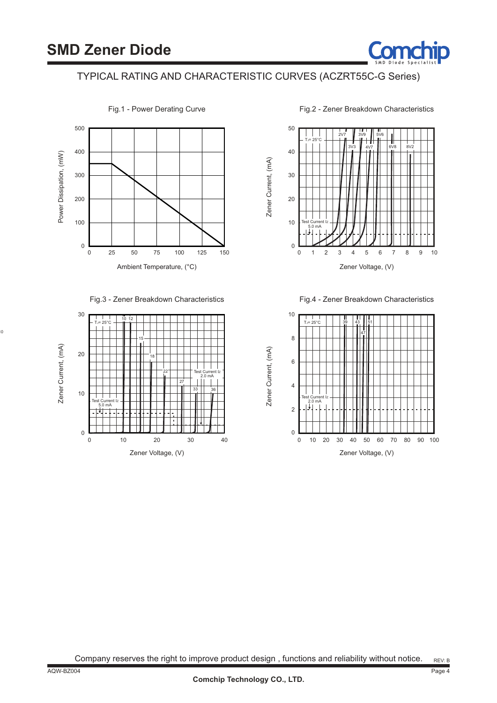

#### TYPICAL RATING AND CHARACTERISTIC CURVES (ACZRT55C-G Series)



Fig.1 - Power Derating Curve

Fig.2 - Zener Breakdown Characteristics



Fig.4 - Zener Breakdown Characteristics



20

30

 $\theta$ 

0

Zener Current, (mA) Zener Current, (mA) 10

10

Test Current I<sup>Z</sup> 2.0 mA Test Current I<sup>Z</sup> 5.0 mA TJ= 25°C 18 15 10 12 22 27 33 | 36

Fig.3 - Zener Breakdown Characteristics

Zener Voltage, (V)

30 40

10 20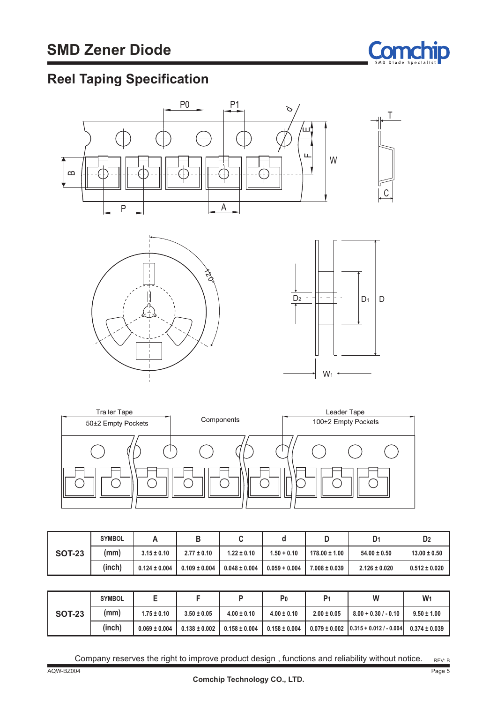

## **Reel Taping Specification**



|               | <b>SYMBOL</b> |                   |                   |                   |                 |                   | D1                | D <sub>2</sub>    |
|---------------|---------------|-------------------|-------------------|-------------------|-----------------|-------------------|-------------------|-------------------|
| <b>SOT-23</b> | (mm)          | $3.15 \pm 0.10$   | $2.77 \pm 0.10$   | $1.22 \pm 0.10$   | $1.50 + 0.10$   | $178.00 \pm 1.00$ | $54.00 \pm 0.50$  | $13.00 \pm 0.50$  |
|               | (inch)        | $0.124 \pm 0.004$ | $0.109 \pm 0.004$ | $0.048 \pm 0.004$ | $0.059 + 0.004$ | $7.008 \pm 0.039$ | $2.126 \pm 0.020$ | $0.512 \pm 0.020$ |

|               | <b>SYMBOL</b> | ∼                 |                   |                   | P <sub>0</sub>    | P <sub>1</sub>  | W                                             | W <sub>1</sub>    |
|---------------|---------------|-------------------|-------------------|-------------------|-------------------|-----------------|-----------------------------------------------|-------------------|
| <b>SOT-23</b> | (mm)          | $1.75 \pm 0.10$   | $3.50 \pm 0.05$   | $4.00 \pm 0.10$   | $4.00 \pm 0.10$   | $2.00 \pm 0.05$ | $8.00 + 0.30 / - 0.10$                        | $9.50 \pm 1.00$   |
|               | (inch)        | $0.069 \pm 0.004$ | $0.138 \pm 0.002$ | $0.158 \pm 0.004$ | $0.158 \pm 0.004$ |                 | $0.079 \pm 0.002$ $0.315 + 0.012$ / $- 0.004$ | $0.374 \pm 0.039$ |